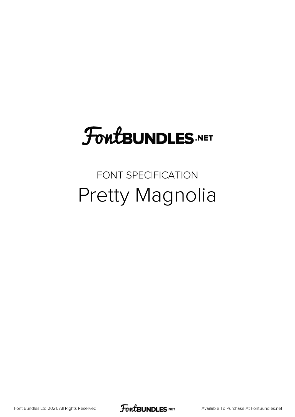# **FoutBUNDLES.NET**

#### FONT SPECIFICATION Pretty Magnolia

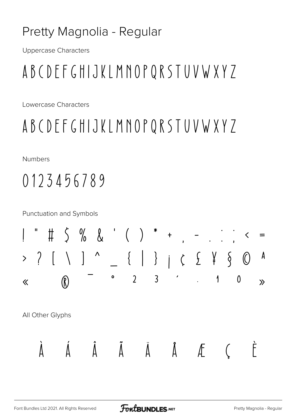#### Pretty Magnolia - Regular

**Uppercase Characters** 

# ABCDEFGHIJKLMNOPQRSTUVWXYZ

Lowercase Characters

### ABCDEFGHIJKLMNOPQRSTUVWXYZ

**Numbers** 

## 0123456789

**Punctuation and Symbols** 

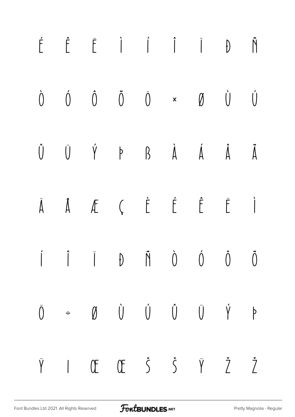